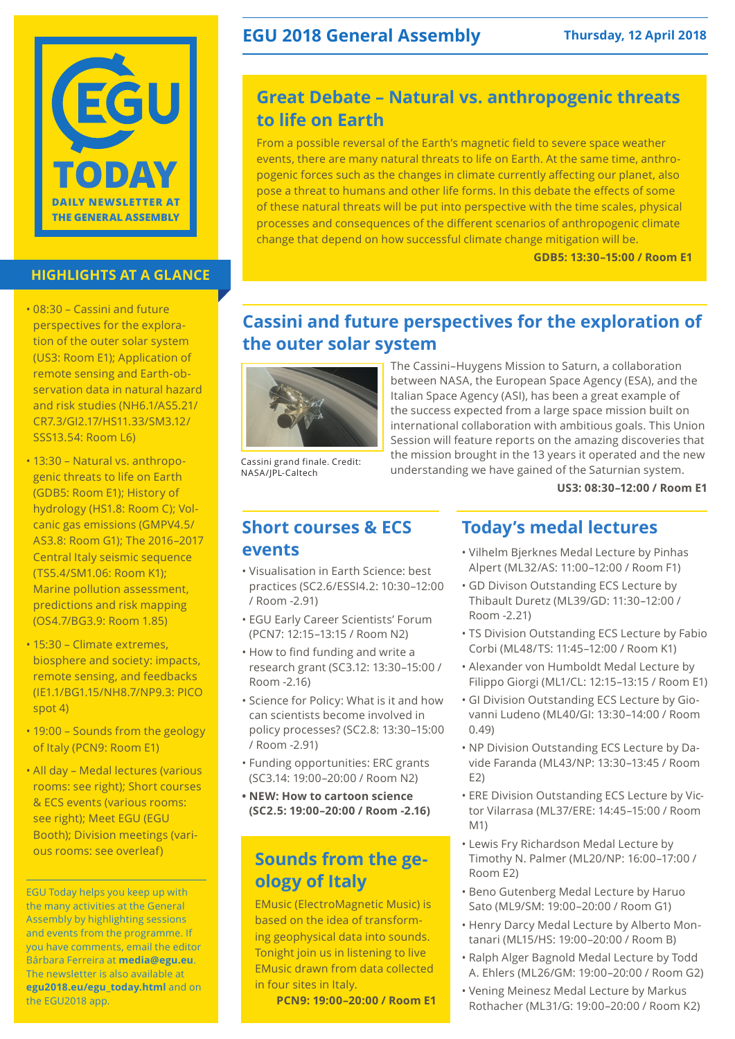

### **HIGHLIGHTS AT A GLANCE**

- • 08:30 Cassini and future perspectives for the exploration of the outer solar system (US3: Room E1); Application of remote sensing and Earth-observation data in natural hazard and risk studies (NH6.1/AS5.21/ CR7.3/GI2.17/HS11.33/SM3.12/ SSS13.54: Room L6)
- 13:30 Natural vs. anthropogenic threats to life on Earth (GDB5: Room E1); History of hydrology (HS1.8: Room C); Volcanic gas emissions (GMPV4.5/ AS3.8: Room G1); The 2016–2017 Central Italy seismic sequence (TS5.4/SM1.06: Room K1); Marine pollution assessment, predictions and risk mapping (OS4.7/BG3.9: Room 1.85)
- 15:30 Climate extremes, biosphere and society: impacts, remote sensing, and feedbacks (IE1.1/BG1.15/NH8.7/NP9.3: PICO spot 4)
- 19:00 Sounds from the geology of Italy (PCN9: Room E1)
- All day Medal lectures (various rooms: see right); Short courses & ECS events (various rooms: see right); Meet EGU (EGU Booth); Division meetings (various rooms: see overleaf)

EGU Today helps you keep up with the many activities at the General Assembly by highlighting sessions and events from the programme. If you have comments, email the editor Bárbara Ferreira at **media@egu.eu**. The newsletter is also available at **egu2018.eu/egu\_today.html** and on the EGU2018 app.

# **EGU 2018 General Assembly Thursday, 12 April 2018**

# **Great Debate – Natural vs. anthropogenic threats to life on Earth**

From a possible reversal of the Earth's magnetic field to severe space weather events, there are many natural threats to life on Earth. At the same time, anthropogenic forces such as the changes in climate currently affecting our planet, also pose a threat to humans and other life forms. In this debate the effects of some of these natural threats will be put into perspective with the time scales, physical processes and consequences of the different scenarios of anthropogenic climate change that depend on how successful climate change mitigation will be.

**GDB5: 13:30–15:00 / Room E1**

# **Cassini and future perspectives for the exploration of the outer solar system**



Cassini grand finale. Credit: NASA/JPL-Caltech

The Cassini–Huygens Mission to Saturn, a collaboration between NASA, the European Space Agency (ESA), and the Italian Space Agency (ASI), has been a great example of the success expected from a large space mission built on international collaboration with ambitious goals. This Union Session will feature reports on the amazing discoveries that the mission brought in the 13 years it operated and the new understanding we have gained of the Saturnian system.

**US3: 08:30–12:00 / Room E1**

## **Short courses & ECS events**

- • Visualisation in Earth Science: best practices (SC2.6/ESSI4.2: 10:30–12:00 / Room -2.91)
- • EGU Early Career Scientists' Forum (PCN7: 12:15–13:15 / Room N2)
- How to find funding and write a research grant (SC3.12: 13:30–15:00 / Room -2.16)
- • Science for Policy: What is it and how can scientists become involved in policy processes? (SC2.8: 13:30–15:00 / Room -2.91)
- • Funding opportunities: ERC grants (SC3.14: 19:00–20:00 / Room N2)
- **• NEW: How to cartoon science (SC2.5: 19:00–20:00 / Room -2.16)**

# **Sounds from the geology of Italy**

EMusic (ElectroMagnetic Music) is based on the idea of transforming geophysical data into sounds. Tonight join us in listening to live EMusic drawn from data collected in four sites in Italy.

**PCN9: 19:00–20:00 / Room E1**

## **Today's medal lectures**

- • Vilhelm Bjerknes Medal Lecture by Pinhas Alpert (ML32/AS: 11:00–12:00 / Room F1)
- • GD Divison Outstanding ECS Lecture by Thibault Duretz (ML39/GD: 11:30–12:00 / Room -2.21)
- TS Division Outstanding ECS Lecture by Fabio Corbi (ML48/TS: 11:45–12:00 / Room K1)
- • Alexander von Humboldt Medal Lecture by Filippo Giorgi (ML1/CL: 12:15–13:15 / Room E1)
- • GI Division Outstanding ECS Lecture by Giovanni Ludeno (ML40/GI: 13:30–14:00 / Room 0.49)
- • NP Division Outstanding ECS Lecture by Davide Faranda (ML43/NP: 13:30–13:45 / Room E2)
- ERE Division Outstanding ECS Lecture by Victor Vilarrasa (ML37/ERE: 14:45–15:00 / Room M1)
- • Lewis Fry Richardson Medal Lecture by Timothy N. Palmer (ML20/NP: 16:00–17:00 / Room E2)
- • Beno Gutenberg Medal Lecture by Haruo Sato (ML9/SM: 19:00–20:00 / Room G1)
- Henry Darcy Medal Lecture by Alberto Montanari (ML15/HS: 19:00–20:00 / Room B)
- • Ralph Alger Bagnold Medal Lecture by Todd A. Ehlers (ML26/GM: 19:00–20:00 / Room G2)
- • Vening Meinesz Medal Lecture by Markus Rothacher (ML31/G: 19:00–20:00 / Room K2)